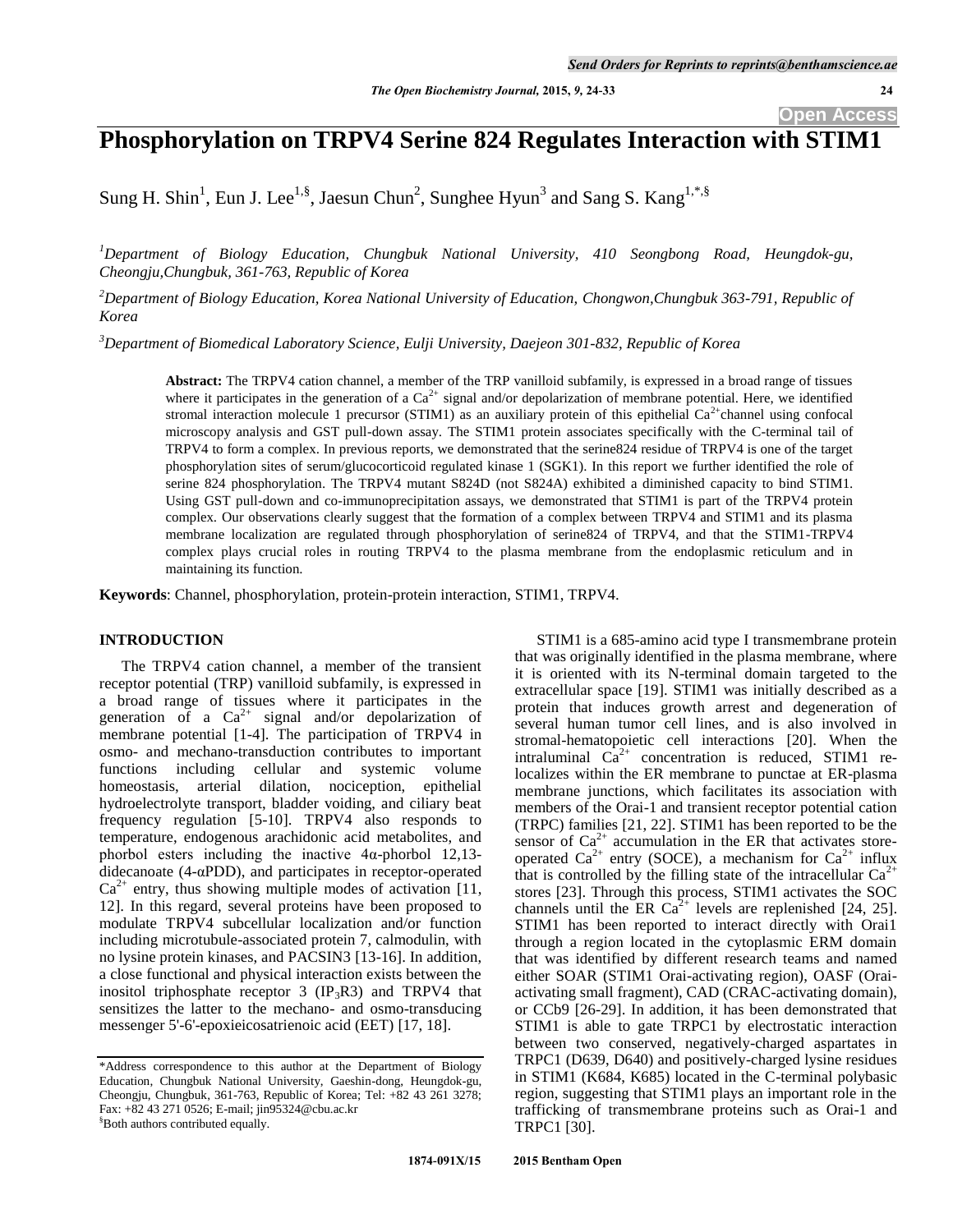# **Phosphorylation on TRPV4 Serine 824 Regulates Interaction with STIM1**

Sung H. Shin<sup>1</sup>, Eun J. Lee<sup>1,§</sup>, Jaesun Chun<sup>2</sup>, Sunghee Hyun<sup>3</sup> and Sang S. Kang<sup>1,\*,§</sup>

*<sup>1</sup>Department of Biology Education, Chungbuk National University, 410 Seongbong Road, Heungdok-gu, Cheongju,Chungbuk, 361-763, Republic of Korea*

*<sup>2</sup>Department of Biology Education, Korea National University of Education, Chongwon,Chungbuk 363-791, Republic of Korea*

*<sup>3</sup>Department of Biomedical Laboratory Science, Eulji University, Daejeon 301-832, Republic of Korea*

**Abstract:** The TRPV4 cation channel, a member of the TRP vanilloid subfamily, is expressed in a broad range of tissues where it participates in the generation of a  $Ca^{2+}$  signal and/or depolarization of membrane potential. Here, we identified stromal interaction molecule 1 precursor (STIM1) as an auxiliary protein of this epithelial  $Ca^{2+}$ channel using confocal microscopy analysis and GST pull-down assay. The STIM1 protein associates specifically with the C-terminal tail of TRPV4 to form a complex. In previous reports, we demonstrated that the serine824 residue of TRPV4 is one of the target phosphorylation sites of serum/glucocorticoid regulated kinase 1 (SGK1). In this report we further identified the role of serine 824 phosphorylation. The TRPV4 mutant S824D (not S824A) exhibited a diminished capacity to bind STIM1. Using GST pull-down and co-immunoprecipitation assays, we demonstrated that STIM1 is part of the TRPV4 protein complex. Our observations clearly suggest that the formation of a complex between TRPV4 and STIM1 and its plasma membrane localization are regulated through phosphorylation of serine824 of TRPV4, and that the STIM1-TRPV4 complex plays crucial roles in routing TRPV4 to the plasma membrane from the endoplasmic reticulum and in maintaining its function.

**Keywords**: Channel, phosphorylation, protein-protein interaction, STIM1, TRPV4.

# **INTRODUCTION**

The TRPV4 cation channel, a member of the transient receptor potential (TRP) vanilloid subfamily, is expressed in a broad range of tissues where it participates in the generation of a  $Ca^{2+}$  signal and/or depolarization of membrane potential [1-4]. The participation of TRPV4 in osmo- and mechano-transduction contributes to important functions including cellular and systemic volume homeostasis, arterial dilation, nociception, epithelial hydroelectrolyte transport, bladder voiding, and ciliary beat frequency regulation [5-10]. TRPV4 also responds to temperature, endogenous arachidonic acid metabolites, and phorbol esters including the inactive 4α-phorbol 12,13 didecanoate  $(4-\alpha PDD)$ , and participates in receptor-operated  $Ca^{2+}$  entry, thus showing multiple modes of activation [11, 12]. In this regard, several proteins have been proposed to modulate TRPV4 subcellular localization and/or function including microtubule-associated protein 7, calmodulin, with no lysine protein kinases, and PACSIN3 [13-16]. In addition, a close functional and physical interaction exists between the inositol triphosphate receptor  $3$  (IP<sub>3</sub>R3) and TRPV4 that sensitizes the latter to the mechano- and osmo-transducing messenger 5'-6'-epoxieicosatrienoic acid (EET) [17, 18].

STIM1 is a 685-amino acid type I transmembrane protein that was originally identified in the plasma membrane, where it is oriented with its N-terminal domain targeted to the extracellular space [19]. STIM1 was initially described as a protein that induces growth arrest and degeneration of several human tumor cell lines, and is also involved in stromal-hematopoietic cell interactions [20]. When the intraluminal  $\text{Ca}^{2+}$  concentration is reduced, STIM1 relocalizes within the ER membrane to punctae at ER-plasma membrane junctions, which facilitates its association with members of the Orai-1 and transient receptor potential cation (TRPC) families [21, 22]. STIM1 has been reported to be the sensor of  $Ca^{2+}$  accumulation in the ER that activates storeoperated  $Ca^{2+}$  entry (SOCE), a mechanism for  $Ca^{2+}$  influx that is controlled by the filling state of the intracellular  $Ca^{2+}$ stores [23]. Through this process, STIM1 activates the SOC channels until the ER  $Ca^{2+}$  levels are replenished [24, 25]. STIM1 has been reported to interact directly with Orai1 through a region located in the cytoplasmic ERM domain that was identified by different research teams and named either SOAR (STIM1 Orai-activating region), OASF (Oraiactivating small fragment), CAD (CRAC-activating domain), or CCb9 [26-29]. In addition, it has been demonstrated that STIM1 is able to gate TRPC1 by electrostatic interaction between two conserved, negatively-charged aspartates in TRPC1 (D639, D640) and positively-charged lysine residues in STIM1 (K684, K685) located in the C-terminal polybasic region, suggesting that STIM1 plays an important role in the trafficking of transmembrane proteins such as Orai-1 and TRPC1 [30].

<sup>\*</sup>Address correspondence to this author at the Department of Biology Education, Chungbuk National University, Gaeshin-dong, Heungdok-gu, Cheongju, Chungbuk, 361-763, Republic of Korea; Tel: +82 43 261 3278; Fax: +82 43 271 0526; E-mail; jin95324@cbu.ac.kr §Both authors contributed equally.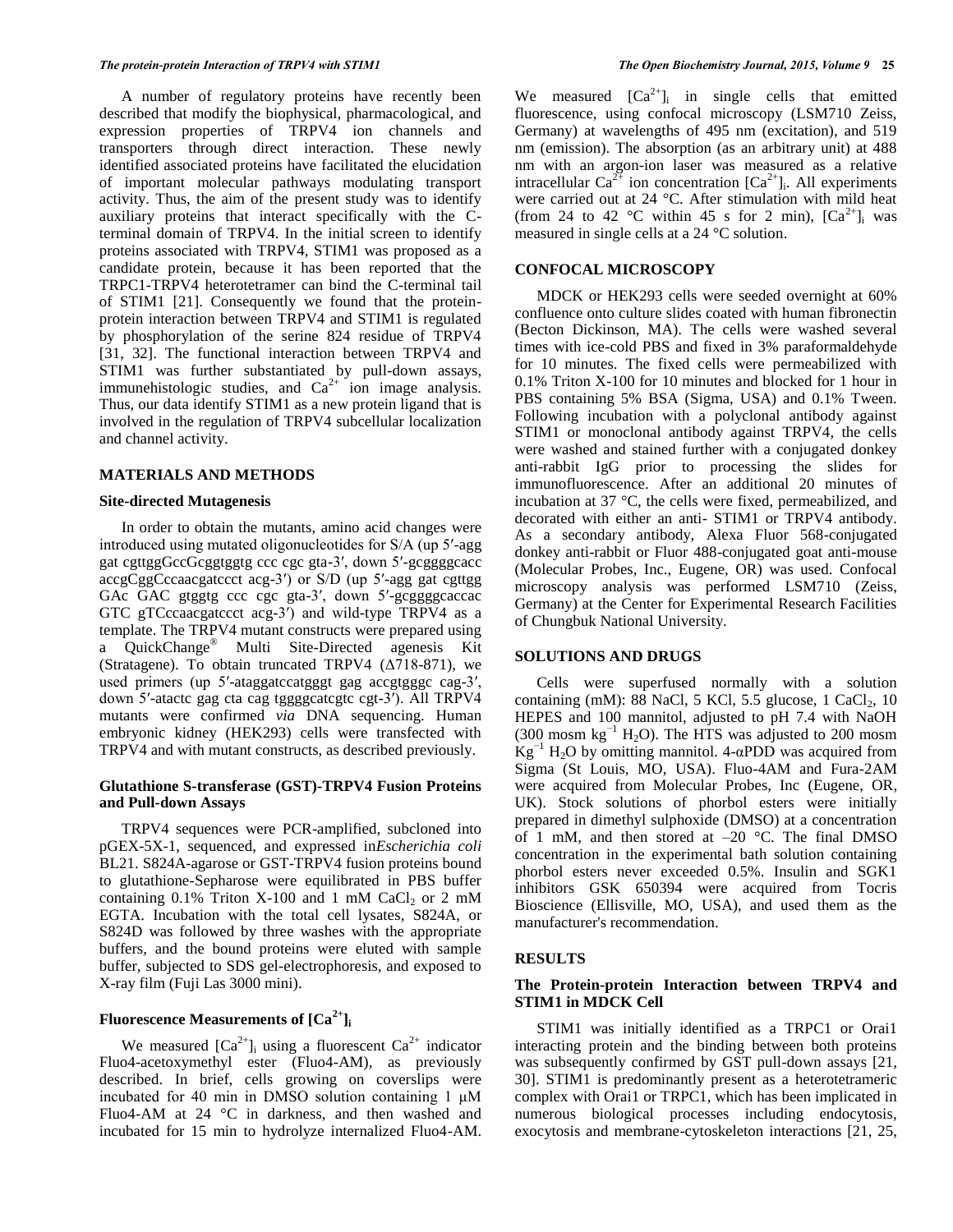A number of regulatory proteins have recently been described that modify the biophysical, pharmacological, and expression properties of TRPV4 ion channels and transporters through direct interaction. These newly identified associated proteins have facilitated the elucidation of important molecular pathways modulating transport activity. Thus, the aim of the present study was to identify auxiliary proteins that interact specifically with the Cterminal domain of TRPV4. In the initial screen to identify proteins associated with TRPV4, STIM1 was proposed as a candidate protein, because it has been reported that the TRPC1-TRPV4 heterotetramer can bind the C-terminal tail of STIM1 [21]. Consequently we found that the proteinprotein interaction between TRPV4 and STIM1 is regulated by phosphorylation of the serine 824 residue of TRPV4 [31, 32]. The functional interaction between TRPV4 and STIM1 was further substantiated by pull-down assays, immunehistologic studies, and  $Ca^{2+}$  ion image analysis. Thus, our data identify STIM1 as a new protein ligand that is involved in the regulation of TRPV4 subcellular localization and channel activity.

### **MATERIALS AND METHODS**

### **Site-directed Mutagenesis**

In order to obtain the mutants, amino acid changes were introduced using mutated oligonucleotides for S/A (up 5′-agg gat cgttggGccGcggtggtg ccc cgc gta-3′, down 5′-gcggggcacc accgCggCccaacgatccct acg-3′) or S/D (up 5′-agg gat cgttgg GAc GAC gtggtg ccc cgc gta-3′, down 5′-gcggggcaccac GTC gTCccaacgatccct acg-3′) and wild-type TRPV4 as a template. The TRPV4 mutant constructs were prepared using a QuickChange® Multi Site-Directed agenesis Kit (Stratagene). To obtain truncated TRPV4  $(\Delta 718-871)$ , we used primers (up 5'-ataggatccatgggt gag accgtgggc cag-3', down 5′-atactc gag cta cag tggggcatcgtc cgt-3′). All TRPV4 mutants were confirmed *via* DNA sequencing. Human embryonic kidney (HEK293) cells were transfected with TRPV4 and with mutant constructs, as described previously.

# **Glutathione S-transferase (GST)-TRPV4 Fusion Proteins and Pull-down Assays**

TRPV4 sequences were PCR-amplified, subcloned into pGEX-5X-1, sequenced, and expressed in*Escherichia coli* BL21. S824A-agarose or GST-TRPV4 fusion proteins bound to glutathione-Sepharose were equilibrated in PBS buffer containing  $0.1\%$  Triton X-100 and 1 mM CaCl<sub>2</sub> or 2 mM EGTA. Incubation with the total cell lysates, S824A, or S824D was followed by three washes with the appropriate buffers, and the bound proteins were eluted with sample buffer, subjected to SDS gel-electrophoresis, and exposed to X-ray film (Fuji Las 3000 mini).

# **Fluorescence Measurements of [Ca2+]<sup>i</sup>**

We measured  $[Ca^{2+}]$  using a fluorescent  $Ca^{2+}$  indicator Fluo4-acetoxymethyl ester (Fluo4-AM), as previously described. In brief, cells growing on coverslips were incubated for 40 min in DMSO solution containing 1 μM Fluo4-AM at 24 °C in darkness, and then washed and incubated for 15 min to hydrolyze internalized Fluo4-AM. We measured  $[Ca^{2+}]_i$  in single cells that emitted fluorescence, using confocal microscopy (LSM710 Zeiss, Germany) at wavelengths of 495 nm (excitation), and 519 nm (emission). The absorption (as an arbitrary unit) at 488 nm with an argon-ion laser was measured as a relative intracellular  $Ca^{2+}$  ion concentration  $[Ca^{2+}]_i$ . All experiments were carried out at 24 °C. After stimulation with mild heat (from 24 to 42 °C within 45 s for 2 min),  $[Ca^{2+}]$ <sub>i</sub> was measured in single cells at a 24 °C solution.

#### **CONFOCAL MICROSCOPY**

MDCK or HEK293 cells were seeded overnight at 60% confluence onto culture slides coated with human fibronectin (Becton Dickinson, MA). The cells were washed several times with ice-cold PBS and fixed in 3% paraformaldehyde for 10 minutes. The fixed cells were permeabilized with 0.1% Triton X-100 for 10 minutes and blocked for 1 hour in PBS containing 5% BSA (Sigma, USA) and 0.1% Tween. Following incubation with a polyclonal antibody against STIM1 or monoclonal antibody against TRPV4, the cells were washed and stained further with a conjugated donkey anti-rabbit IgG prior to processing the slides for immunofluorescence. After an additional 20 minutes of incubation at 37 °C, the cells were fixed, permeabilized, and decorated with either an anti- STIM1 or TRPV4 antibody. As a secondary antibody, Alexa Fluor 568-conjugated donkey anti-rabbit or Fluor 488-conjugated goat anti-mouse (Molecular Probes, Inc., Eugene, OR) was used. Confocal microscopy analysis was performed LSM710 (Zeiss, Germany) at the Center for Experimental Research Facilities of Chungbuk National University.

# **SOLUTIONS AND DRUGS**

Cells were superfused normally with a solution containing (mM):  $88$  NaCl, 5 KCl, 5.5 glucose, 1 CaCl<sub>2</sub>, 10 HEPES and 100 mannitol, adjusted to pH 7.4 with NaOH (300 mosm kg<sup>-1</sup> H<sub>2</sub>O). The HTS was adjusted to 200 mosm  $Kg^{-1}$  H<sub>2</sub>O by omitting mannitol. 4-αPDD was acquired from Sigma (St Louis, MO, USA). Fluo-4AM and Fura-2AM were acquired from Molecular Probes, Inc (Eugene, OR, UK). Stock solutions of phorbol esters were initially prepared in dimethyl sulphoxide (DMSO) at a concentration of 1 mM, and then stored at  $-20$  °C. The final DMSO concentration in the experimental bath solution containing phorbol esters never exceeded 0.5%. Insulin and SGK1 inhibitors GSK 650394 were acquired from Tocris Bioscience (Ellisville, MO, USA), and used them as the manufacturer's recommendation.

# **RESULTS**

# **The Protein-protein Interaction between TRPV4 and STIM1 in MDCK Cell**

STIM1 was initially identified as a TRPC1 or Orai1 interacting protein and the binding between both proteins was subsequently confirmed by GST pull-down assays [21, 30]. STIM1 is predominantly present as a heterotetrameric complex with Orai1 or TRPC1, which has been implicated in numerous biological processes including endocytosis, exocytosis and membrane-cytoskeleton interactions [21, 25,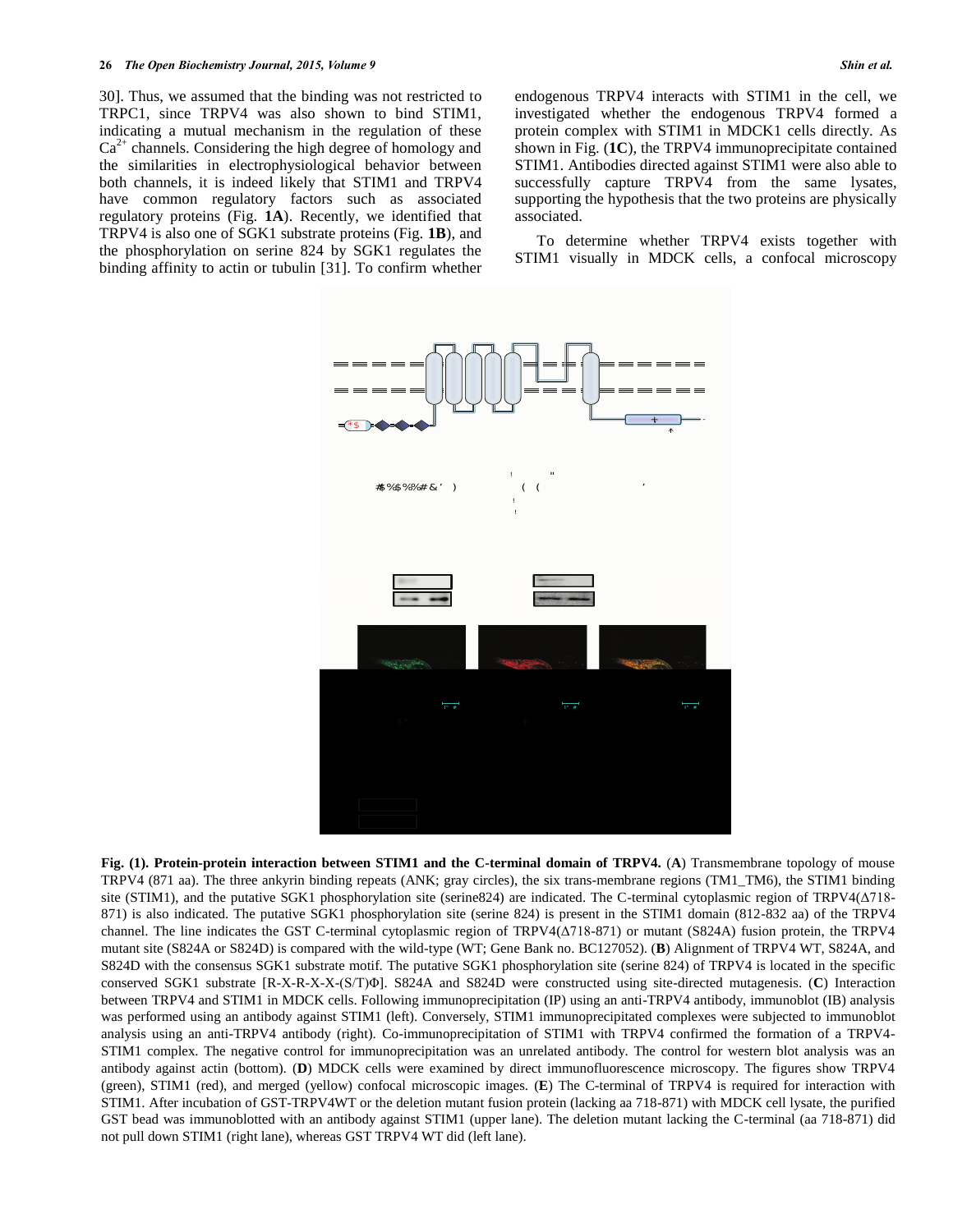30]. Thus, we assumed that the binding was not restricted to TRPC1, since TRPV4 was also shown to bind STIM1, indicating a mutual mechanism in the regulation of these  $Ca<sup>2+</sup>$  channels. Considering the high degree of homology and the similarities in electrophysiological behavior between both channels, it is indeed likely that STIM1 and TRPV4 have common regulatory factors such as associated regulatory proteins (Fig. **1A**). Recently, we identified that TRPV4 is also one of SGK1 substrate proteins (Fig. **1B**), and the phosphorylation on serine 824 by SGK1 regulates the binding affinity to actin or tubulin [31]. To confirm whether endogenous TRPV4 interacts with STIM1 in the cell, we investigated whether the endogenous TRPV4 formed a protein complex with STIM1 in MDCK1 cells directly. As shown in Fig. (**1C**), the TRPV4 immunoprecipitate contained STIM1. Antibodies directed against STIM1 were also able to successfully capture TRPV4 from the same lysates, supporting the hypothesis that the two proteins are physically associated.

 To determine whether TRPV4 exists together with STIM1 visually in MDCK cells, a confocal microscopy



**Fig. (1). Protein-protein interaction between STIM1 and the C-terminal domain of TRPV4.** (**A**) Transmembrane topology of mouse TRPV4 (871 aa). The three ankyrin binding repeats (ANK; gray circles), the six trans-membrane regions (TM1\_TM6), the STIM1 binding site (STIM1), and the putative SGK1 phosphorylation site (serine824) are indicated. The C-terminal cytoplasmic region of TRPV4(Δ718- 871) is also indicated. The putative SGK1 phosphorylation site (serine 824) is present in the STIM1 domain (812-832 aa) of the TRPV4 channel. The line indicates the GST C-terminal cytoplasmic region of TRPV4(Δ718-871) or mutant (S824A) fusion protein, the TRPV4 mutant site (S824A or S824D) is compared with the wild-type (WT; Gene Bank no. BC127052). (**B**) Alignment of TRPV4 WT, S824A, and S824D with the consensus SGK1 substrate motif. The putative SGK1 phosphorylation site (serine 824) of TRPV4 is located in the specific conserved SGK1 substrate [R-X-R-X-X-(S/T)Φ]. S824A and S824D were constructed using site-directed mutagenesis. (**C**) Interaction between TRPV4 and STIM1 in MDCK cells. Following immunoprecipitation (IP) using an anti-TRPV4 antibody, immunoblot (IB) analysis was performed using an antibody against STIM1 (left). Conversely, STIM1 immunoprecipitated complexes were subjected to immunoblot analysis using an anti-TRPV4 antibody (right). Co-immunoprecipitation of STIM1 with TRPV4 confirmed the formation of a TRPV4- STIM1 complex. The negative control for immunoprecipitation was an unrelated antibody. The control for western blot analysis was an antibody against actin (bottom). (**D**) MDCK cells were examined by direct immunofluorescence microscopy. The figures show TRPV4 (green), STIM1 (red), and merged (yellow) confocal microscopic images. (**E**) The C-terminal of TRPV4 is required for interaction with STIM1. After incubation of GST-TRPV4WT or the deletion mutant fusion protein (lacking aa 718-871) with MDCK cell lysate, the purified GST bead was immunoblotted with an antibody against STIM1 (upper lane). The deletion mutant lacking the C-terminal (aa 718-871) did not pull down STIM1 (right lane), whereas GST TRPV4 WT did (left lane).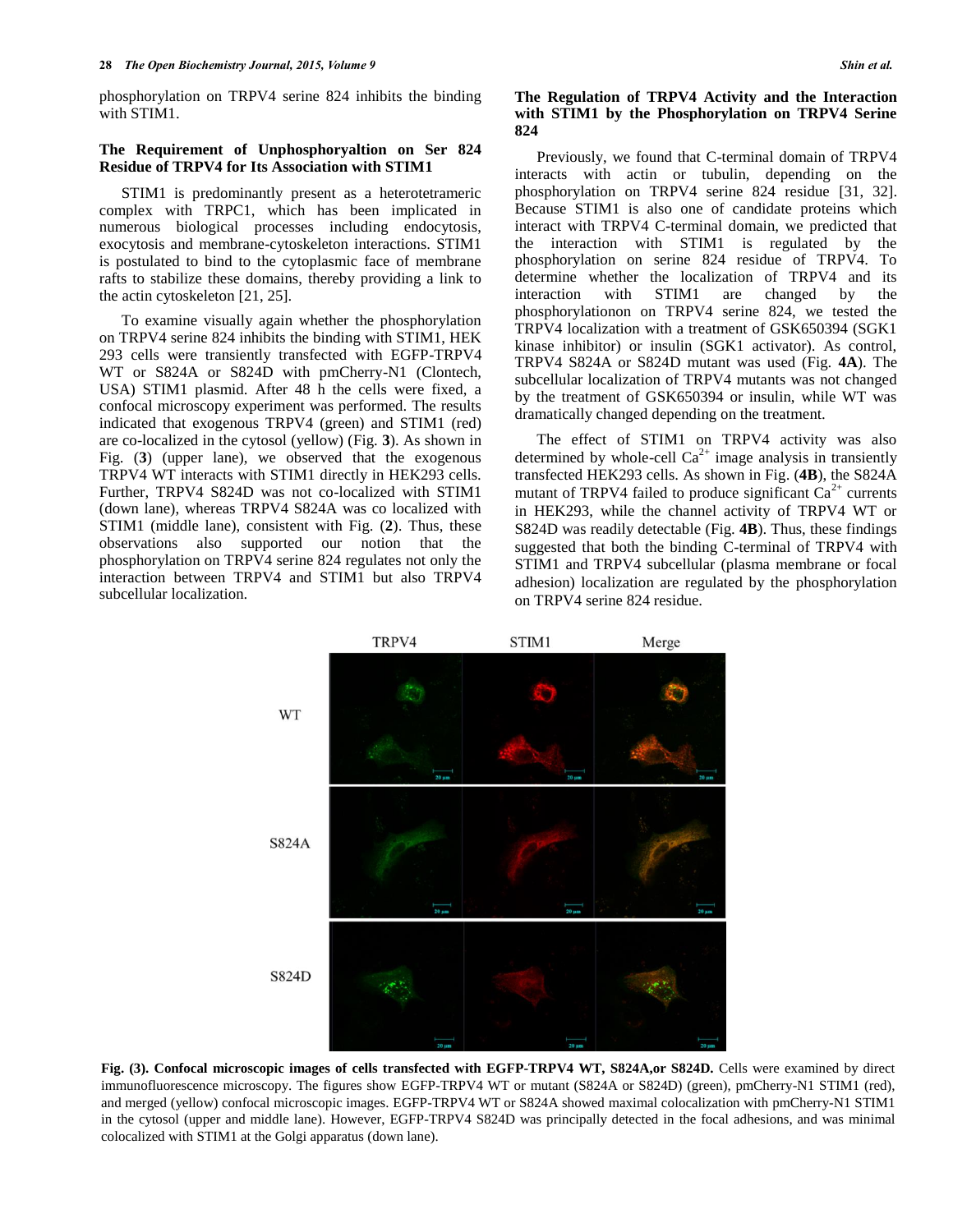phosphorylation on TRPV4 serine 824 inhibits the binding with STIM1.

# **The Requirement of Unphosphoryaltion on Ser 824 Residue of TRPV4 for Its Association with STIM1**

STIM1 is predominantly present as a heterotetrameric complex with TRPC1, which has been implicated in numerous biological processes including endocytosis, exocytosis and membrane-cytoskeleton interactions. STIM1 is postulated to bind to the cytoplasmic face of membrane rafts to stabilize these domains, thereby providing a link to the actin cytoskeleton [21, 25].

To examine visually again whether the phosphorylation on TRPV4 serine 824 inhibits the binding with STIM1, HEK 293 cells were transiently transfected with EGFP-TRPV4 WT or S824A or S824D with pmCherry-N1 (Clontech, USA) STIM1 plasmid. After 48 h the cells were fixed, a confocal microscopy experiment was performed. The results indicated that exogenous TRPV4 (green) and STIM1 (red) are co-localized in the cytosol (yellow) (Fig. **3**). As shown in Fig. (**3**) (upper lane), we observed that the exogenous TRPV4 WT interacts with STIM1 directly in HEK293 cells. Further, TRPV4 S824D was not co-localized with STIM1 (down lane), whereas TRPV4 S824A was co localized with STIM1 (middle lane), consistent with Fig. (**2**). Thus, these observations also supported our notion that the phosphorylation on TRPV4 serine 824 regulates not only the interaction between TRPV4 and STIM1 but also TRPV4 subcellular localization.

Previously, we found that C-terminal domain of TRPV4 interacts with actin or tubulin, depending on the phosphorylation on TRPV4 serine 824 residue [31, 32]. Because STIM1 is also one of candidate proteins which interact with TRPV4 C-terminal domain, we predicted that the interaction with STIM1 is regulated by the phosphorylation on serine 824 residue of TRPV4. To determine whether the localization of TRPV4 and its interaction with STIM1 are changed by the phosphorylationon on TRPV4 serine 824, we tested the TRPV4 localization with a treatment of GSK650394 (SGK1 kinase inhibitor) or insulin (SGK1 activator). As control, TRPV4 S824A or S824D mutant was used (Fig. **4A**). The subcellular localization of TRPV4 mutants was not changed by the treatment of GSK650394 or insulin, while WT was dramatically changed depending on the treatment.

The effect of STIM1 on TRPV4 activity was also determined by whole-cell  $Ca^{2+}$  image analysis in transiently transfected HEK293 cells. As shown in Fig. (**4B**), the S824A mutant of TRPV4 failed to produce significant  $Ca^{2+}$  currents in HEK293, while the channel activity of TRPV4 WT or S824D was readily detectable (Fig. **4B**). Thus, these findings suggested that both the binding C-terminal of TRPV4 with STIM1 and TRPV4 subcellular (plasma membrane or focal adhesion) localization are regulated by the phosphorylation on TRPV4 serine 824 residue.



**Fig. (3). Confocal microscopic images of cells transfected with EGFP-TRPV4 WT, S824A,or S824D.** Cells were examined by direct immunofluorescence microscopy. The figures show EGFP-TRPV4 WT or mutant (S824A or S824D) (green), pmCherry-N1 STIM1 (red), and merged (yellow) confocal microscopic images. EGFP-TRPV4 WT or S824A showed maximal colocalization with pmCherry-N1 STIM1 in the cytosol (upper and middle lane). However, EGFP-TRPV4 S824D was principally detected in the focal adhesions, and was minimal colocalized with STIM1 at the Golgi apparatus (down lane).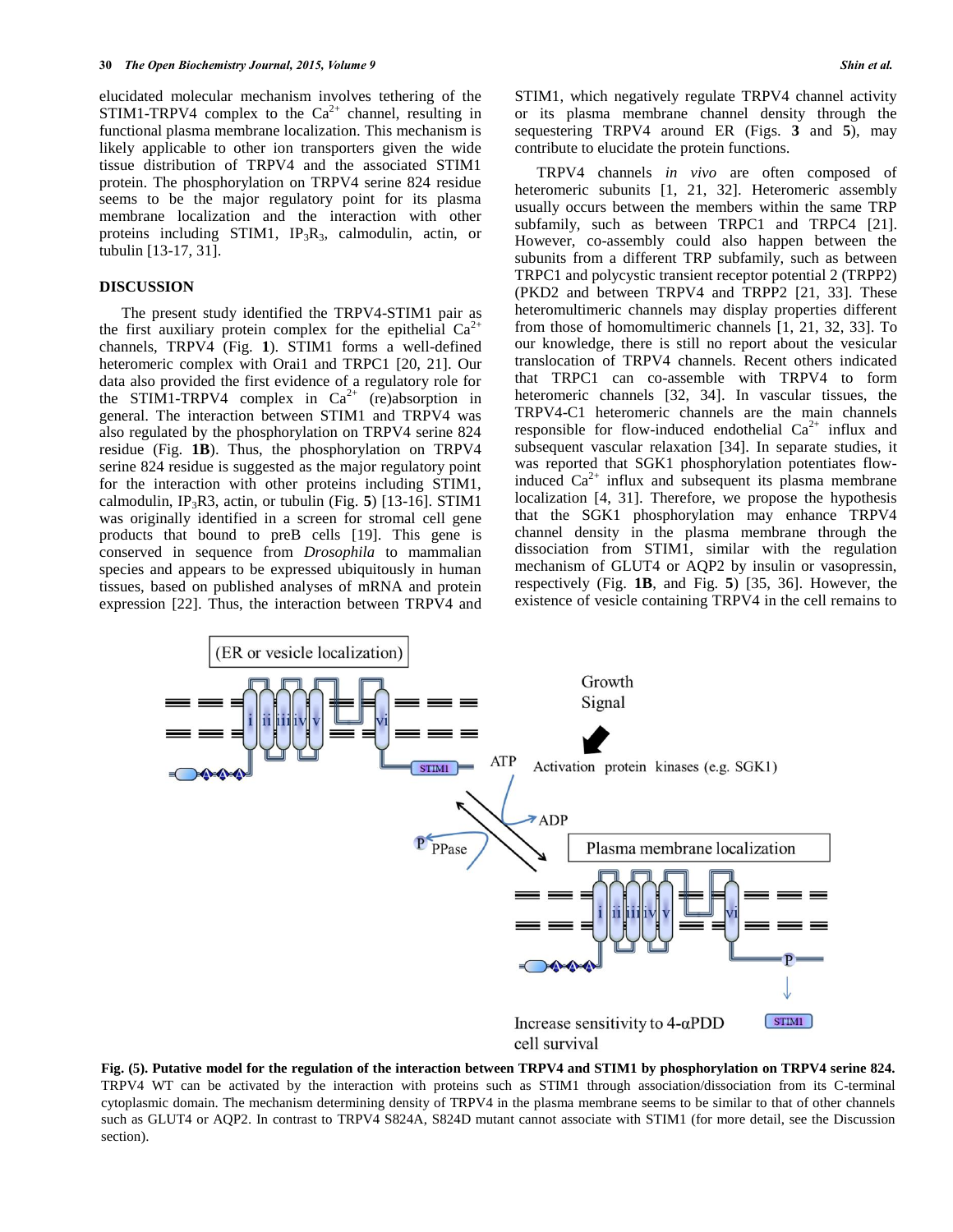elucidated molecular mechanism involves tethering of the STIM1-TRPV4 complex to the  $Ca^{2+}$  channel, resulting in functional plasma membrane localization. This mechanism is likely applicable to other ion transporters given the wide tissue distribution of TRPV4 and the associated STIM1 protein. The phosphorylation on TRPV4 serine 824 residue seems to be the major regulatory point for its plasma membrane localization and the interaction with other proteins including STIM1,  $IP_3R_3$ , calmodulin, actin, or tubulin [13-17, 31].

# **DISCUSSION**

The present study identified the TRPV4-STIM1 pair as the first auxiliary protein complex for the epithelial  $Ca<sup>2+</sup>$ channels, TRPV4 (Fig. **1**). STIM1 forms a well-defined heteromeric complex with Orai1 and TRPC1 [20, 21]. Our data also provided the first evidence of a regulatory role for the STIM1-TRPV4 complex in  $Ca^{2+}$  (re)absorption in general. The interaction between STIM1 and TRPV4 was also regulated by the phosphorylation on TRPV4 serine 824 residue (Fig. **1B**). Thus, the phosphorylation on TRPV4 serine 824 residue is suggested as the major regulatory point for the interaction with other proteins including STIM1, calmodulin, IP3R3, actin, or tubulin (Fig. **5**) [13-16]. STIM1 was originally identified in a screen for stromal cell gene products that bound to preB cells [19]. This gene is conserved in sequence from *Drosophila* to mammalian species and appears to be expressed ubiquitously in human tissues, based on published analyses of mRNA and protein expression [22]. Thus, the interaction between TRPV4 and STIM1, which negatively regulate TRPV4 channel activity or its plasma membrane channel density through the sequestering TRPV4 around ER (Figs. **3** and **5**), may contribute to elucidate the protein functions.

TRPV4 channels *in vivo* are often composed of heteromeric subunits [1, 21, 32]. Heteromeric assembly usually occurs between the members within the same TRP subfamily, such as between TRPC1 and TRPC4 [21]. However, co-assembly could also happen between the subunits from a different TRP subfamily, such as between TRPC1 and polycystic transient receptor potential 2 (TRPP2) (PKD2 and between TRPV4 and TRPP2 [21, 33]. These heteromultimeric channels may display properties different from those of homomultimeric channels [1, 21, 32, 33]. To our knowledge, there is still no report about the vesicular translocation of TRPV4 channels. Recent others indicated that TRPC1 can co-assemble with TRPV4 to form heteromeric channels [32, 34]. In vascular tissues, the TRPV4-C1 heteromeric channels are the main channels responsible for flow-induced endothelial  $Ca^{2+}$  influx and subsequent vascular relaxation [34]. In separate studies, it was reported that SGK1 phosphorylation potentiates flowinduced  $Ca^{2+}$  influx and subsequent its plasma membrane localization [4, 31]. Therefore, we propose the hypothesis that the SGK1 phosphorylation may enhance TRPV4 channel density in the plasma membrane through the dissociation from STIM1, similar with the regulation mechanism of GLUT4 or AQP2 by insulin or vasopressin, respectively (Fig. **1B**, and Fig. **5**) [35, 36]. However, the existence of vesicle containing TRPV4 in the cell remains to



**Fig. (5). Putative model for the regulation of the interaction between TRPV4 and STIM1 by phosphorylation on TRPV4 serine 824.**  TRPV4 WT can be activated by the interaction with proteins such as STIM1 through association/dissociation from its C-terminal cytoplasmic domain. The mechanism determining density of TRPV4 in the plasma membrane seems to be similar to that of other channels such as GLUT4 or AQP2. In contrast to TRPV4 S824A, S824D mutant cannot associate with STIM1 (for more detail, see the Discussion section).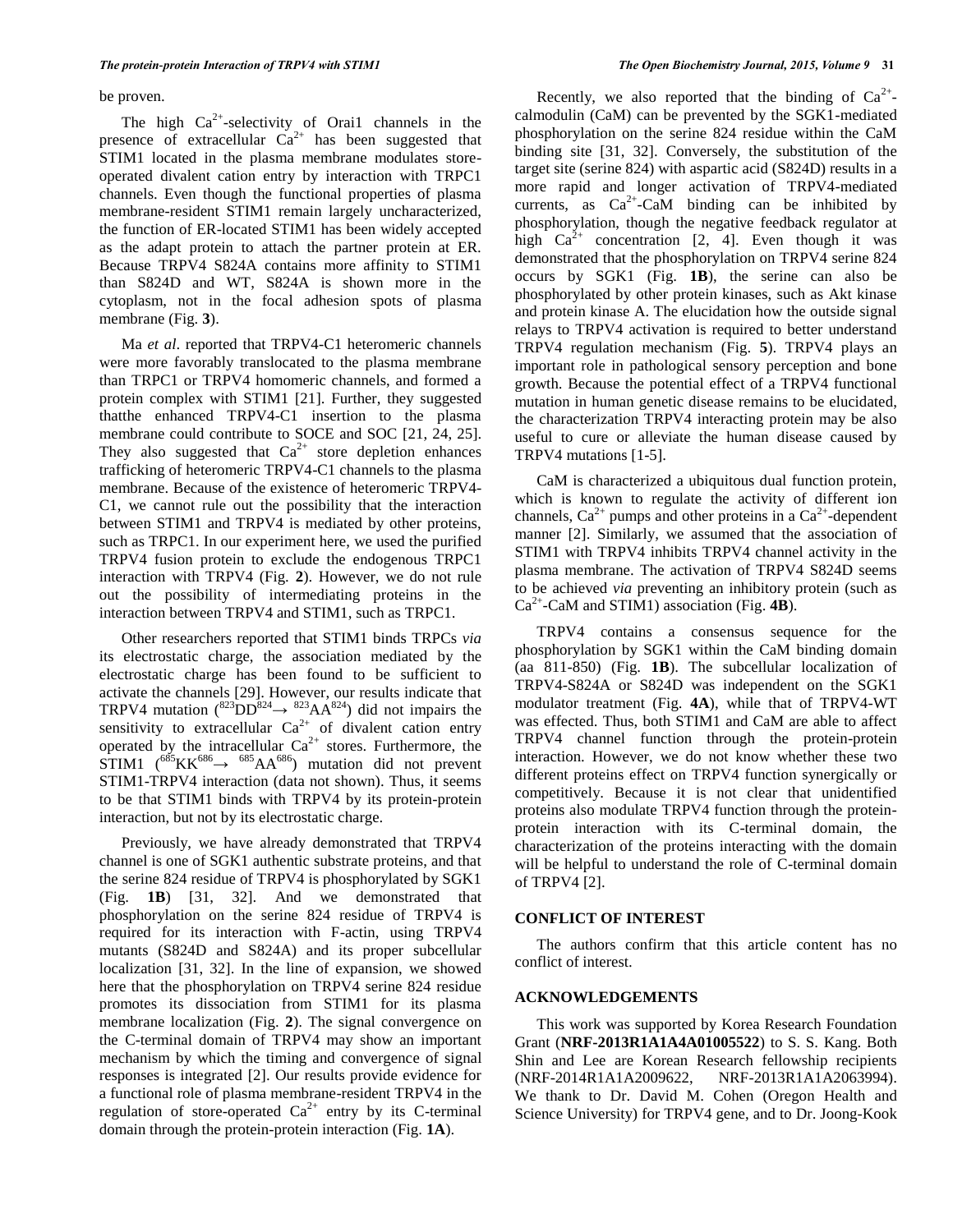be proven.

The high  $Ca^{2+}$ -selectivity of Orai1 channels in the presence of extracellular  $Ca^{2+}$  has been suggested that STIM1 located in the plasma membrane modulates storeoperated divalent cation entry by interaction with TRPC1 channels. Even though the functional properties of plasma membrane-resident STIM1 remain largely uncharacterized, the function of ER-located STIM1 has been widely accepted as the adapt protein to attach the partner protein at ER. Because TRPV4 S824A contains more affinity to STIM1 than S824D and WT, S824A is shown more in the cytoplasm, not in the focal adhesion spots of plasma membrane (Fig. **3**).

Ma *et al*. reported that TRPV4-C1 heteromeric channels were more favorably translocated to the plasma membrane than TRPC1 or TRPV4 homomeric channels, and formed a protein complex with STIM1 [21]. Further, they suggested thatthe enhanced TRPV4-C1 insertion to the plasma membrane could contribute to SOCE and SOC [21, 24, 25]. They also suggested that  $Ca^{2+}$  store depletion enhances trafficking of heteromeric TRPV4-C1 channels to the plasma membrane. Because of the existence of heteromeric TRPV4- C1, we cannot rule out the possibility that the interaction between STIM1 and TRPV4 is mediated by other proteins, such as TRPC1. In our experiment here, we used the purified TRPV4 fusion protein to exclude the endogenous TRPC1 interaction with TRPV4 (Fig. **2**). However, we do not rule out the possibility of intermediating proteins in the interaction between TRPV4 and STIM1, such as TRPC1.

Other researchers reported that STIM1 binds TRPCs *via* its electrostatic charge, the association mediated by the electrostatic charge has been found to be sufficient to activate the channels [29]. However, our results indicate that TRPV4 mutation  $(^{823}DD^{824} \rightarrow ^{823}AA^{824})$  did not impairs the sensitivity to extracellular  $Ca^{2+}$  of divalent cation entry operated by the intracellular  $Ca^{2+}$  stores. Furthermore, the  $STIM1$  (<sup>685</sup>KK<sup>686</sup>  $\rightarrow$  <sup>685</sup>AA<sup>686</sup>) mutation did not prevent STIM1-TRPV4 interaction (data not shown). Thus, it seems to be that STIM1 binds with TRPV4 by its protein-protein interaction, but not by its electrostatic charge.

Previously, we have already demonstrated that TRPV4 channel is one of SGK1 authentic substrate proteins, and that the serine 824 residue of TRPV4 is phosphorylated by SGK1 (Fig. **1B**) [31, 32]. And we demonstrated that phosphorylation on the serine 824 residue of TRPV4 is required for its interaction with F-actin, using TRPV4 mutants (S824D and S824A) and its proper subcellular localization [31, 32]. In the line of expansion, we showed here that the phosphorylation on TRPV4 serine 824 residue promotes its dissociation from STIM1 for its plasma membrane localization (Fig. **2**). The signal convergence on the C-terminal domain of TRPV4 may show an important mechanism by which the timing and convergence of signal responses is integrated [2]. Our results provide evidence for a functional role of plasma membrane-resident TRPV4 in the regulation of store-operated  $Ca^{2+}$  entry by its C-terminal domain through the protein-protein interaction (Fig. **1A**).

Recently, we also reported that the binding of  $Ca^{2+}$ calmodulin (CaM) can be prevented by the SGK1-mediated phosphorylation on the serine 824 residue within the CaM binding site [31, 32]. Conversely, the substitution of the target site (serine 824) with aspartic acid (S824D) results in a more rapid and longer activation of TRPV4-mediated currents, as  $Ca^{2+}-CaM$  binding can be inhibited by phosphorylation, though the negative feedback regulator at high  $Ca^{2+}$  concentration [2, 4]. Even though it was demonstrated that the phosphorylation on TRPV4 serine 824 occurs by SGK1 (Fig. **1B**), the serine can also be phosphorylated by other protein kinases, such as Akt kinase and protein kinase A. The elucidation how the outside signal relays to TRPV4 activation is required to better understand TRPV4 regulation mechanism (Fig. **5**). TRPV4 plays an important role in pathological sensory perception and bone growth. Because the potential effect of a TRPV4 functional mutation in human genetic disease remains to be elucidated, the characterization TRPV4 interacting protein may be also useful to cure or alleviate the human disease caused by TRPV4 mutations [1-5].

CaM is characterized a ubiquitous dual function protein, which is known to regulate the activity of different ion channels,  $Ca^{2+}$  pumps and other proteins in a  $Ca^{2+}$ -dependent manner [2]. Similarly, we assumed that the association of STIM1 with TRPV4 inhibits TRPV4 channel activity in the plasma membrane. The activation of TRPV4 S824D seems to be achieved *via* preventing an inhibitory protein (such as Ca2+ -CaM and STIM1) association (Fig. **4B**).

TRPV4 contains a consensus sequence for the phosphorylation by SGK1 within the CaM binding domain (aa 811-850) (Fig. **1B**). The subcellular localization of TRPV4-S824A or S824D was independent on the SGK1 modulator treatment (Fig. **4A**), while that of TRPV4-WT was effected. Thus, both STIM1 and CaM are able to affect TRPV4 channel function through the protein-protein interaction. However, we do not know whether these two different proteins effect on TRPV4 function synergically or competitively. Because it is not clear that unidentified proteins also modulate TRPV4 function through the proteinprotein interaction with its C-terminal domain, the characterization of the proteins interacting with the domain will be helpful to understand the role of C-terminal domain of TRPV4 [2].

# **CONFLICT OF INTEREST**

The authors confirm that this article content has no conflict of interest.

# **ACKNOWLEDGEMENTS**

This work was supported by Korea Research Foundation Grant (**NRF-2013R1A1A4A01005522**) to S. S. Kang. Both Shin and Lee are Korean Research fellowship recipients (NRF-2014R1A1A2009622, NRF-2013R1A1A2063994). We thank to Dr. David M. Cohen (Oregon Health and Science University) for TRPV4 gene, and to Dr. Joong-Kook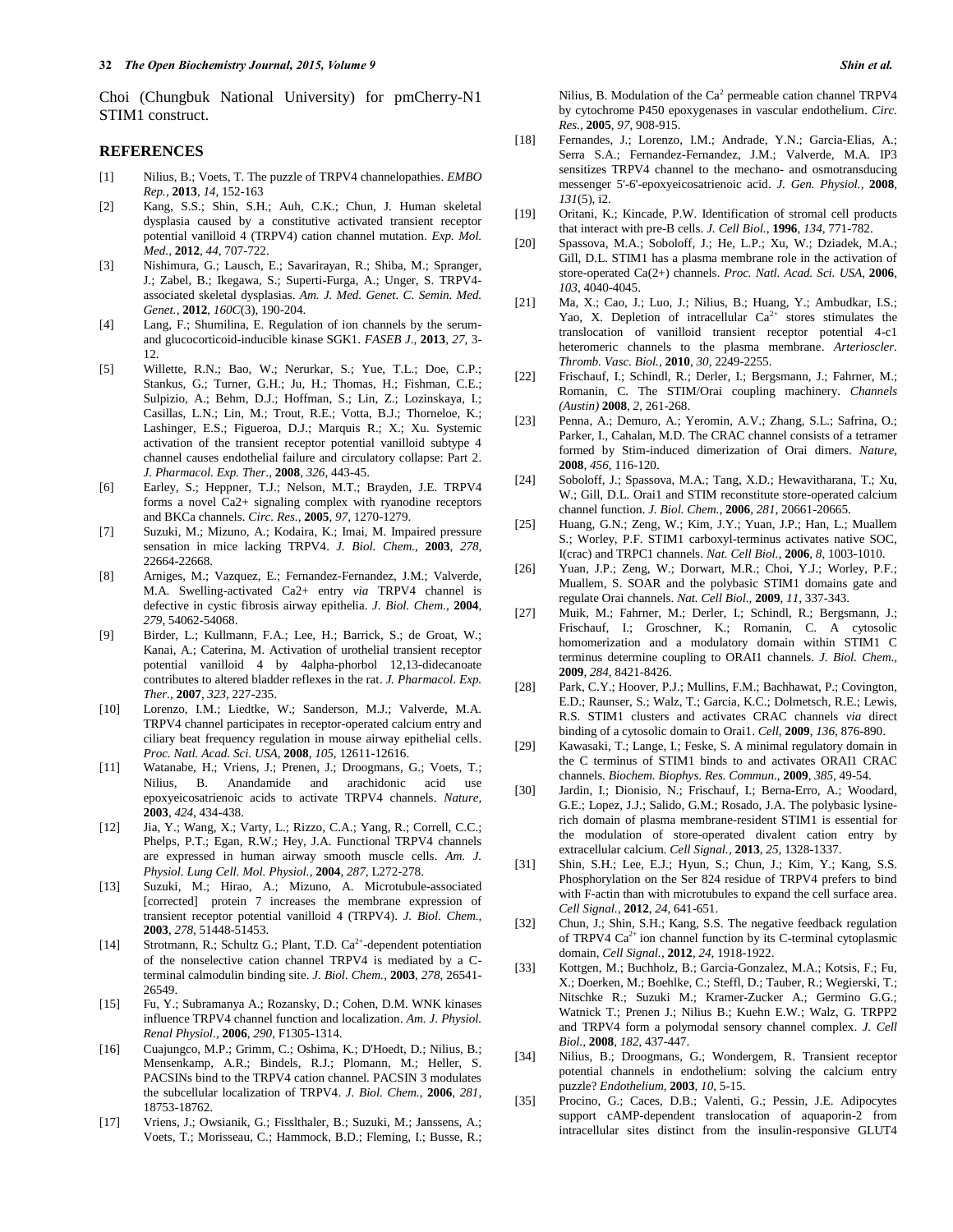Choi (Chungbuk National University) for pmCherry-N1 STIM1 construct.

#### **REFERENCES**

- [1] Nilius, B.; Voets, T. The puzzle of TRPV4 channelopathies. *EMBO Rep.,* **2013**, *14*, 152-163
- [2] Kang, S.S.; Shin, S.H.; Auh, C.K.; Chun, J. Human skeletal dysplasia caused by a constitutive activated transient receptor potential vanilloid 4 (TRPV4) cation channel mutation. *Exp. Mol. Med.,* **2012**, *44*, 707-722.
- [3] Nishimura, G.; Lausch, E.; Savarirayan, R.; Shiba, M.; Spranger, J.; Zabel, B.; Ikegawa, S.; Superti-Furga, A.; Unger, S. TRPV4 associated skeletal dysplasias. *Am. J. Med. Genet. C. Semin. Med. Genet.,* **2012**, *160C*(3), 190-204.
- [4] Lang, F.; Shumilina, E. Regulation of ion channels by the serumand glucocorticoid-inducible kinase SGK1. *FASEB J.,* **2013**, *27*, 3- 12.
- [5] Willette, R.N.; Bao, W.; Nerurkar, S.; Yue, T.L.; Doe, C.P.; Stankus, G.; Turner, G.H.; Ju, H.; Thomas, H.; Fishman, C.E.; Sulpizio, A.; Behm, D.J.; Hoffman, S.; Lin, Z.; Lozinskaya, I.; Casillas, L.N.; Lin, M.; Trout, R.E.; Votta, B.J.; Thorneloe, K.; Lashinger, E.S.; Figueroa, D.J.; Marquis R.; X.; Xu. Systemic activation of the transient receptor potential vanilloid subtype 4 channel causes endothelial failure and circulatory collapse: Part 2. *J. Pharmacol. Exp. Ther.,* **2008**, *326*, 443-45.
- [6] Earley, S.; Heppner, T.J.; Nelson, M.T.; Brayden, J.E. TRPV4 forms a novel Ca2+ signaling complex with ryanodine receptors and BKCa channels. *Circ. Res.,* **2005**, *97*, 1270-1279.
- [7] Suzuki, M.; Mizuno, A.; Kodaira, K.; Imai, M. Impaired pressure sensation in mice lacking TRPV4. *J. Biol. Chem.,* **2003**, *278*, 22664-22668.
- [8] Arniges, M.; Vazquez, E.; Fernandez-Fernandez, J.M.; Valverde, M.A. Swelling-activated Ca2+ entry *via* TRPV4 channel is defective in cystic fibrosis airway epithelia. *J. Biol. Chem.,* **2004**, *279*, 54062-54068.
- [9] Birder, L.; Kullmann, F.A.; Lee, H.; Barrick, S.; de Groat, W.; Kanai, A.; Caterina, M. Activation of urothelial transient receptor potential vanilloid 4 by 4alpha-phorbol 12,13-didecanoate contributes to altered bladder reflexes in the rat. *J. Pharmacol. Exp. Ther.,* **2007**, *323*, 227-235.
- [10] Lorenzo, I.M.; Liedtke, W.; Sanderson, M.J.; Valverde, M.A. TRPV4 channel participates in receptor-operated calcium entry and ciliary beat frequency regulation in mouse airway epithelial cells. *Proc. Natl. Acad. Sci. USA,* **2008**, *105*, 12611-12616.
- [11] Watanabe, H.; Vriens, J.; Prenen, J.; Droogmans, G.; Voets, T.; Nilius, B. Anandamide and arachidonic acid use epoxyeicosatrienoic acids to activate TRPV4 channels. *Nature,* **2003**, *424*, 434-438.
- [12] Jia, Y.; Wang, X.; Varty, L.; Rizzo, C.A.; Yang, R.; Correll, C.C.; Phelps, P.T.; Egan, R.W.; Hey, J.A. Functional TRPV4 channels are expressed in human airway smooth muscle cells. *Am. J. Physiol. Lung Cell. Mol. Physiol.,* **2004**, *287*, L272-278.
- [13] Suzuki, M.; Hirao, A.; Mizuno, A. Microtubule-associated [corrected] protein 7 increases the membrane expression of transient receptor potential vanilloid 4 (TRPV4). *J. Biol. Chem.,* **2003**, *278*, 51448-51453.
- [14] Strotmann, R.; Schultz G.; Plant, T.D. Ca<sup>2+</sup>-dependent potentiation of the nonselective cation channel TRPV4 is mediated by a Cterminal calmodulin binding site. *J. Biol. Chem.,* **2003**, *278*, 26541- 26549.
- [15] Fu, Y.; Subramanya A.; Rozansky, D.; Cohen, D.M. WNK kinases influence TRPV4 channel function and localization. *Am. J. Physiol. Renal Physiol.,* **2006**, *290*, F1305-1314.
- [16] Cuajungco, M.P.; Grimm, C.; Oshima, K.; D'Hoedt, D.; Nilius, B.; Mensenkamp, A.R.; Bindels, R.J.; Plomann, M.; Heller, S. PACSINs bind to the TRPV4 cation channel. PACSIN 3 modulates the subcellular localization of TRPV4. *J. Biol. Chem.,* **2006**, *281*, 18753-18762.
- [17] Vriens, J.; Owsianik, G.; Fisslthaler, B.; Suzuki, M.; Janssens, A.; Voets, T.; Morisseau, C.; Hammock, B.D.; Fleming, I.; Busse, R.;

Nilius, B. Modulation of the  $Ca<sup>2</sup>$  permeable cation channel TRPV4 by cytochrome P450 epoxygenases in vascular endothelium. *Circ. Res.,* **2005**, *97*, 908-915.

- [18] Fernandes, J.; Lorenzo, I.M.; Andrade, Y.N.; Garcia-Elias, A.; Serra S.A.; Fernandez-Fernandez, J.M.; Valverde, M.A. IP3 sensitizes TRPV4 channel to the mechano- and osmotransducing messenger 5'-6'-epoxyeicosatrienoic acid. *J. Gen. Physiol.,* **2008**, *131*(5), i2.
- [19] Oritani, K.; Kincade, P.W. Identification of stromal cell products that interact with pre-B cells. *J. Cell Biol.,* **1996**, *134*, 771-782.
- [20] Spassova, M.A.; Soboloff, J.; He, L.P.; Xu, W.; Dziadek, M.A.; Gill, D.L. STIM1 has a plasma membrane role in the activation of store-operated Ca(2+) channels. *Proc. Natl. Acad. Sci. USA,* **2006**, *103*, 4040-4045.
- [21] Ma, X.; Cao, J.; Luo, J.; Nilius, B.; Huang, Y.; Ambudkar, I.S.; Yao, X. Depletion of intracellular  $Ca^{2+}$  stores stimulates the translocation of vanilloid transient receptor potential 4-c1 heteromeric channels to the plasma membrane. *Arterioscler. Thromb. Vasc. Biol.,* **2010**, *30*, 2249-2255.
- [22] Frischauf, I.; Schindl, R.; Derler, I.; Bergsmann, J.; Fahrner, M.; Romanin, C. The STIM/Orai coupling machinery. *Channels (Austin)* **2008**, *2*, 261-268.
- [23] Penna, A.; Demuro, A.; Yeromin, A.V.; Zhang, S.L.; Safrina, O.; Parker, I., Cahalan, M.D. The CRAC channel consists of a tetramer formed by Stim-induced dimerization of Orai dimers. *Nature,* **2008**, *456*, 116-120.
- [24] Soboloff, J.; Spassova, M.A.; Tang, X.D.; Hewavitharana, T.; Xu, W.; Gill, D.L. Orai1 and STIM reconstitute store-operated calcium channel function. *J. Biol. Chem.,* **2006**, *281*, 20661-20665.
- [25] Huang, G.N.; Zeng, W.; Kim, J.Y.; Yuan, J.P.; Han, L.; Muallem S.; Worley, P.F. STIM1 carboxyl-terminus activates native SOC, I(crac) and TRPC1 channels. *Nat. Cell Biol.,* **2006**, *8*, 1003-1010.
- [26] Yuan, J.P.; Zeng, W.; Dorwart, M.R.; Choi, Y.J.; Worley, P.F.; Muallem, S. SOAR and the polybasic STIM1 domains gate and regulate Orai channels. *Nat. Cell Biol.,* **2009**, *11*, 337-343.
- [27] Muik, M.; Fahrner, M.; Derler, I.; Schindl, R.; Bergsmann, J.; Frischauf, I.; Groschner, K.; Romanin, C. A cytosolic homomerization and a modulatory domain within STIM1 C terminus determine coupling to ORAI1 channels. *J. Biol. Chem.,* **2009**, *284*, 8421-8426.
- [28] Park, C.Y.; Hoover, P.J.; Mullins, F.M.; Bachhawat, P.; Covington, E.D.; Raunser, S.; Walz, T.; Garcia, K.C.; Dolmetsch, R.E.; Lewis, R.S. STIM1 clusters and activates CRAC channels *via* direct binding of a cytosolic domain to Orai1. *Cell,* **2009**, *136*, 876-890.
- [29] Kawasaki, T.; Lange, I.; Feske, S. A minimal regulatory domain in the C terminus of STIM1 binds to and activates ORAI1 CRAC channels. *Biochem. Biophys. Res. Commun.,* **2009**, *385*, 49-54.
- [30] Jardin, I.; Dionisio, N.; Frischauf, I.; Berna-Erro, A.; Woodard, G.E.; Lopez, J.J.; Salido, G.M.; Rosado, J.A. The polybasic lysinerich domain of plasma membrane-resident STIM1 is essential for the modulation of store-operated divalent cation entry by extracellular calcium. *Cell Signal.,* **2013**, *25*, 1328-1337.
- [31] Shin, S.H.; Lee, E.J.; Hyun, S.; Chun, J.; Kim, Y.; Kang, S.S. Phosphorylation on the Ser 824 residue of TRPV4 prefers to bind with F-actin than with microtubules to expand the cell surface area. *Cell Signal.,* **2012**, *24*, 641-651.
- [32] Chun, J.; Shin, S.H.; Kang, S.S. The negative feedback regulation of TRPV4  $Ca^{2+}$  ion channel function by its C-terminal cytoplasmic domain, *Cell Signal.,* **2012**, *24*, 1918-1922.
- [33] Kottgen, M.; Buchholz, B.; Garcia-Gonzalez, M.A.; Kotsis, F.; Fu, X.; Doerken, M.; Boehlke, C.; Steffl, D.; Tauber, R.; Wegierski, T.; Nitschke R.; Suzuki M.; Kramer-Zucker A.; Germino G.G.; Watnick T.; Prenen J.; Nilius B.; Kuehn E.W.; Walz, G. TRPP2 and TRPV4 form a polymodal sensory channel complex. *J. Cell Biol.,* **2008**, *182*, 437-447.
- [34] Nilius, B.; Droogmans, G.; Wondergem, R. Transient receptor potential channels in endothelium: solving the calcium entry puzzle? *Endothelium,* **2003**, *10*, 5-15.
- [35] Procino, G.; Caces, D.B.; Valenti, G.; Pessin, J.E. Adipocytes support cAMP-dependent translocation of aquaporin-2 from intracellular sites distinct from the insulin-responsive GLUT4